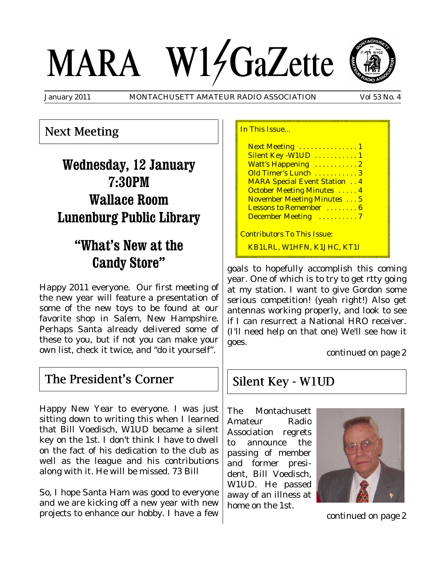# MARA W14GaZette



January 2011 MONTACHUSETT AMATEUR RADIO ASSOCIATION Vol 53 No. 4

## Next Meeting

# **Wednesday, 12 January 7:30PM Wallace Room Lunenburg Public Library**

# **"What's New at the Candy Store"**

Happy 2011 everyone. Our first meeting of the new year will feature a presentation of some of the new toys to be found at our favorite shop in Salem, New Hampshire. Perhaps Santa already delivered some of these to you, but if not you can make your own list, check it twice, and "do it yourself".

## The President's Corner

Happy New Year to everyone. I was just sitting down to writing this when I learned that Bill Voedisch, W1UD became a silent key on the 1st. I don't think I have to dwell on the fact of his dedication to the club as well as the league and his contributions along with it. He will be missed. 73 Bill

So, I hope Santa Ham was good to everyone and we are kicking off a new year with new projects to enhance our hobby. I have a few

| In This Issue                       |
|-------------------------------------|
| Next Meeting  1                     |
| Silent Key - W1UD  1                |
| Watt's Happening  2                 |
| Old Timer's Lunch  3                |
| <b>MARA Special Event Station 4</b> |
| <b>October Meeting Minutes  4</b>   |
| <b>November Meeting Minutes</b> 5   |
| Lessons to Remember  6              |
| December Meeting 7                  |
| <b>Contributors To This Issue:</b>  |
| KB1LRL, W1HFN, K1JHC, KT1I          |

goals to hopefully accomplish this coming year. One of which is to try to get rtty going at my station. I want to give Gordon some serious competition! (yeah right!) Also get antennas working properly, and look to see if I can resurrect a National HRO receiver. (I'll need help on that one) We'll see how it goes.

*continued on page 2*

## Silent Key - W1UD

The Montachusett Amateur Radio Association regrets to announce the passing of member and former president, Bill Voedisch, W1UD. He passed away of an illness at home on the 1st.



*continued on page 2*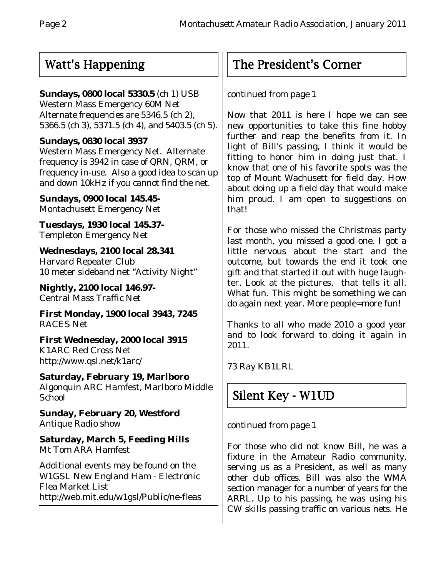# Watt's Happening

### **Sundays, 0800 local 5330.5** (ch 1) USB

Western Mass Emergency 60M Net Alternate frequencies are 5346.5 (ch 2), 5366.5 (ch 3), 5371.5 (ch 4), and 5403.5 (ch 5).

#### **Sundays, 0830 local 3937**

Western Mass Emergency Net. Alternate frequency is 3942 in case of QRN, QRM, or frequency in-use. Also a good idea to scan up and down 10kHz if you cannot find the net.

**Sundays, 0900 local 145.45-** Montachusett Emergency Net

**Tuesdays, 1930 local 145.37-** Templeton Emergency Net

**Wednesdays, 2100 local 28.341** Harvard Repeater Club 10 meter sideband net "Activity Night"

**Nightly, 2100 local 146.97-** Central Mass Traffic Net

**First Monday, 1900 local 3943, 7245** RACES Net

**First Wednesday, 2000 local 3915** K1ARC Red Cross Net http://www.qsl.net/k1arc/

**Saturday, February 19, Marlboro** Algonquin ARC Hamfest, Marlboro Middle **School** 

**Sunday, February 20, Westford** Antique Radio show

**Saturday, March 5, Feeding Hills** Mt Tom ARA Hamfest

Additional events may be found on the W1GSL New England Ham - Electronic Flea Market List http://web.mit.edu/w1gsl/Public/ne-fleas

# The President's Corner

*continued from page 1*

Now that 2011 is here I hope we can see new opportunities to take this fine hobby further and reap the benefits from it. In light of Bill's passing, I think it would be fitting to honor him in doing just that. I know that one of his favorite spots was the top of Mount Wachusett for field day. How about doing up a field day that would make him proud. I am open to suggestions on that!

For those who missed the Christmas party last month, you missed a good one. I got a little nervous about the start and the outcome, but towards the end it took one gift and that started it out with huge laughter. Look at the pictures, that tells it all. What fun. This might be something we can do again next year. More people=more fun!

Thanks to all who made 2010 a good year and to look forward to doing it again in 2011.

73 Ray KB1LRL

# Silent Key - W1UD

*continued from page 1*

For those who did not know Bill, he was a fixture in the Amateur Radio community, serving us as a President, as well as many other club offices. Bill was also the WMA section manager for a number of years for the ARRL. Up to his passing, he was using his CW skills passing traffic on various nets. He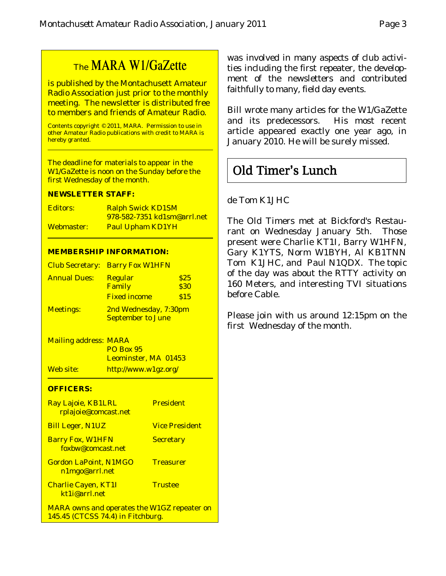# The MARA W1/GaZette

is published by the Montachusett Amateur Radio Association just prior to the monthly meeting. The newsletter is distributed free to members and friends of Amateur Radio.

Contents copyright © 2011, MARA. Permission to use in other Amateur Radio publications with credit to MARA is hereby granted.

The deadline for materials to appear in the W1/GaZette is noon on the Sunday before the first Wednesday of the month.

#### **NEWSLETTER STAFF:**

| Editors:   | <b>Ralph Swick KD1SM</b>           |
|------------|------------------------------------|
|            | <u>978-582-7351 kd1sm@arrl.net</u> |
| Webmaster: | <b>Paul Upham KD1YH</b>            |

#### **MEMBERSHIP INFORMATION:**

|                     | <b>Club Secretary: Barry Fox W1HFN</b> |      |  |
|---------------------|----------------------------------------|------|--|
| <b>Annual Dues:</b> | <b>Regular</b>                         | \$25 |  |
|                     | <b>Family</b>                          | \$30 |  |
|                     | <b>Fixed income</b>                    | \$15 |  |
| <b>Meetings:</b>    | 2nd Wednesday, 7:30pm                  |      |  |
|                     | <b>September to June</b>               |      |  |

Mailing address: MARA PO Box 95 Leominster, MA 01453 Web site: http://www.w1gz.org/

#### **OFFICERS:**

| Ray Lajoie, KB1LRL<br>rplajoie@comcast.net                                              | <b>President</b>      |
|-----------------------------------------------------------------------------------------|-----------------------|
| <b>Bill Leger, N1UZ</b>                                                                 | <b>Vice President</b> |
| <b>Barry Fox, W1HFN</b><br>foxbw@comcast.net                                            | <b>Secretary</b>      |
| <b>Gordon LaPoint, N1MGO</b><br>n1mgo@arrl.net                                          | <b>Treasurer</b>      |
| <b>Charlie Cayen, KT1I</b><br>kt1j@arrl.net                                             | <b>Trustee</b>        |
| <b>MARA owns and operates the W1GZ repeater on</b><br>145.45 (CTCSS 74.4) in Fitchburg. |                       |

was involved in many aspects of club activities including the first repeater, the development of the newsletters and contributed faithfully to many, field day events.

Bill wrote many articles for the W1/GaZette and its predecessors. His most recent article appeared exactly one year ago, in January 2010. He will be surely missed.

# Old Timer's Lunch

#### de Tom K1JHC

The Old Timers met at Bickford's Restaurant on Wednesday January 5th. Those present were Charlie KT1I, Barry W1HFN, Gary K1YTS, Norm W1BYH, Al KB1TNN Tom K1JHC, and Paul N1QDX. The topic of the day was about the RTTY activity on 160 Meters, and interesting TVI situations before Cable.

Please join with us around 12:15pm on the first Wednesday of the month.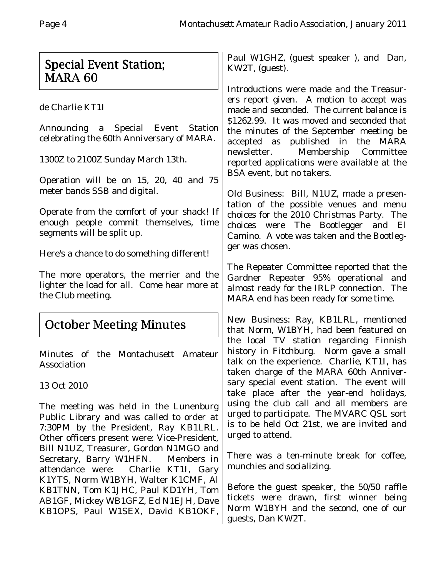# Special Event Station; MARA 60

de Charlie KT1I

Announcing a Special Event Station celebrating the 60th Anniversary of MARA.

1300Z to 2100Z Sunday March 13th.

Operation will be on 15, 20, 40 and 75 meter bands SSB and digital.

Operate from the comfort of your shack! If enough people commit themselves, time segments will be split up.

Here's a chance to do something different!

The more operators, the merrier and the lighter the load for all. Come hear more at the Club meeting.

# October Meeting Minutes

Minutes of the Montachusett Amateur Association

13 Oct 2010

The meeting was held in the Lunenburg Public Library and was called to order at 7:30PM by the President, Ray KB1LRL. Other officers present were: Vice-President, Bill N1UZ, Treasurer, Gordon N1MGO and Secretary, Barry W1HFN. Members in attendance were: Charlie KT1I, Gary K1YTS, Norm W1BYH, Walter K1CMF, Al KB1TNN, Tom K1JHC, Paul KD1YH, Tom AB1GF, Mickey WB1GFZ, Ed N1EJH, Dave KB1OPS, Paul W1SEX, David KB1OKF,

Paul W1GHZ, (guest speaker ), and Dan, KW2T, (guest).

Introductions were made and the Treasurers report given. A motion to accept was made and seconded. The current balance is \$1262.99. It was moved and seconded that the minutes of the September meeting be accepted as published in the MARA newsletter. Membership Committee reported applications were available at the BSA event, but no takers.

Old Business: Bill, N1UZ, made a presentation of the possible venues and menu choices for the 2010 Christmas Party. The choices were The Bootlegger and El Camino. A vote was taken and the Bootlegger was chosen.

The Repeater Committee reported that the Gardner Repeater 95% operational and almost ready for the IRLP connection. The MARA end has been ready for some time.

New Business: Ray, KB1LRL, mentioned that Norm, W1BYH, had been featured on the local TV station regarding Finnish history in Fitchburg. Norm gave a small talk on the experience. Charlie, KT1I, has taken charge of the MARA 60th Anniversary special event station. The event will take place after the year-end holidays, using the club call and all members are urged to participate. The MVARC QSL sort is to be held Oct 21st, we are invited and urged to attend.

There was a ten-minute break for coffee, munchies and socializing.

Before the guest speaker, the 50/50 raffle tickets were drawn, first winner being Norm W1BYH and the second, one of our guests, Dan KW2T.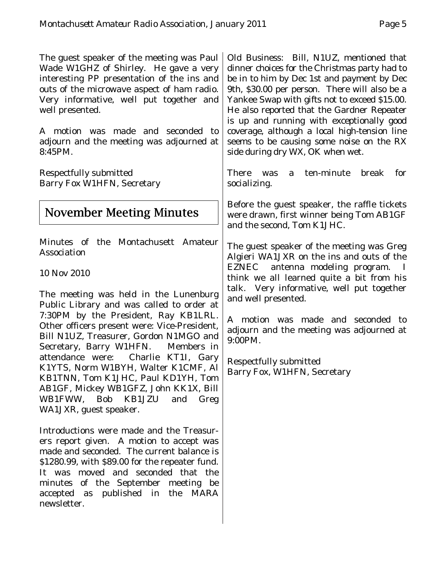The guest speaker of the meeting was Paul Wade W1GHZ of Shirley. He gave a very interesting PP presentation of the ins and outs of the microwave aspect of ham radio. Very informative, well put together and well presented.

A motion was made and seconded to adjourn and the meeting was adjourned at 8:45PM.

Respectfully submitted Barry Fox W1HFN, Secretary

# November Meeting Minutes

Minutes of the Montachusett Amateur Association

10 Nov 2010

The meeting was held in the Lunenburg Public Library and was called to order at 7:30PM by the President, Ray KB1LRL. Other officers present were: Vice-President, Bill N1UZ, Treasurer, Gordon N1MGO and Secretary, Barry W1HFN. Members in attendance were: Charlie KT1I, Gary K1YTS, Norm W1BYH, Walter K1CMF, Al KB1TNN, Tom K1JHC, Paul KD1YH, Tom AB1GF, Mickey WB1GFZ, John KK1X, Bill WB1FWW, Bob KB1JZU and Greg WA1JXR, guest speaker.

Introductions were made and the Treasurers report given. A motion to accept was made and seconded. The current balance is \$1280.99, with \$89.00 for the repeater fund. It was moved and seconded that the minutes of the September meeting be accepted as published in the MARA newsletter.

Old Business: Bill, N1UZ, mentioned that dinner choices for the Christmas party had to be in to him by Dec 1st and payment by Dec 9th, \$30.00 per person. There will also be a Yankee Swap with gifts not to exceed \$15.00. He also reported that the Gardner Repeater is up and running with exceptionally good coverage, although a local high-tension line seems to be causing some noise on the RX side during dry WX, OK when wet.

There was a ten-minute break for socializing.

Before the guest speaker, the raffle tickets were drawn, first winner being Tom AB1GF and the second, Tom K1JHC.

The guest speaker of the meeting was Greg Algieri WA1JXR on the ins and outs of the EZNEC antenna modeling program. I think we all learned quite a bit from his talk. Very informative, well put together and well presented.

A motion was made and seconded to adjourn and the meeting was adjourned at 9:00PM.

Respectfully submitted Barry Fox, W1HFN, Secretary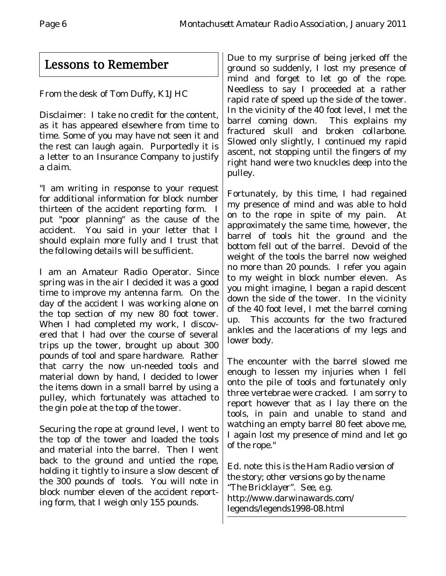# Lessons to Remember

From the desk of Tom Duffy, K1JHC

Disclaimer: I take no credit for the content, as it has appeared elsewhere from time to time. Some of you may have not seen it and the rest can laugh again. Purportedly it is a letter to an Insurance Company to justify a claim.

"I am writing in response to your request for additional information for block number thirteen of the accident reporting form. I put "poor planning" as the cause of the accident. You said in your letter that I should explain more fully and I trust that the following details will be sufficient.

I am an Amateur Radio Operator. Since spring was in the air I decided it was a good time to improve my antenna farm. On the day of the accident I was working alone on the top section of my new 80 foot tower. When I had completed my work, I discovered that I had over the course of several trips up the tower, brought up about 300 pounds of tool and spare hardware. Rather that carry the now un-needed tools and material down by hand, I decided to lower the items down in a small barrel by using a pulley, which fortunately was attached to the gin pole at the top of the tower.

Securing the rope at ground level, I went to the top of the tower and loaded the tools and material into the barrel. Then I went back to the ground and untied the rope, holding it tightly to insure a slow descent of the 300 pounds of tools. You will note in block number eleven of the accident reporting form, that I weigh only 155 pounds.

Due to my surprise of being jerked off the ground so suddenly, I lost my presence of mind and forget to let go of the rope. Needless to say I proceeded at a rather rapid rate of speed up the side of the tower. In the vicinity of the 40 foot level, I met the barrel coming down. This explains my fractured skull and broken collarbone. Slowed only slightly, I continued my rapid ascent, not stopping until the fingers of my right hand were two knuckles deep into the pulley.

Fortunately, by this time, I had regained my presence of mind and was able to hold on to the rope in spite of my pain. At approximately the same time, however, the barrel of tools hit the ground and the bottom fell out of the barrel. Devoid of the weight of the tools the barrel now weighed no more than 20 pounds. I refer you again to my weight in block number eleven. As you might imagine, I began a rapid descent down the side of the tower. In the vicinity of the 40 foot level, I met the barrel coming up. This accounts for the two fractured ankles and the lacerations of my legs and lower body.

The encounter with the barrel slowed me enough to lessen my injuries when I fell onto the pile of tools and fortunately only three vertebrae were cracked. I am sorry to report however that as I lay there on the tools, in pain and unable to stand and watching an empty barrel 80 feet above me, I again lost my presence of mind and let go of the rope."

*Ed. note: this is the Ham Radio version of the story; other versions go by the name "The Bricklayer". See, e.g.* http://www.darwinawards.com/ legends/legends1998-08.html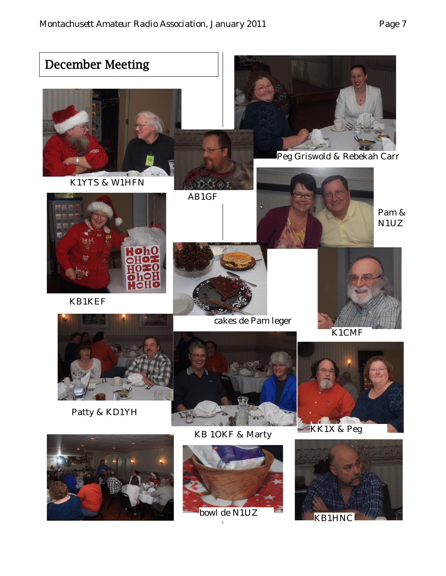